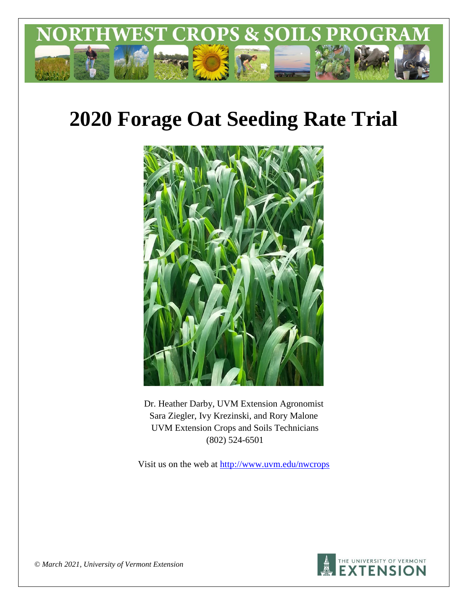

# **2020 Forage Oat Seeding Rate Trial**



Dr. Heather Darby, UVM Extension Agronomist Sara Ziegler, Ivy Krezinski, and Rory Malone UVM Extension Crops and Soils Technicians (802) 524-6501

Visit us on the web at<http://www.uvm.edu/nwcrops>



*© March 2021, University of Vermont Extension*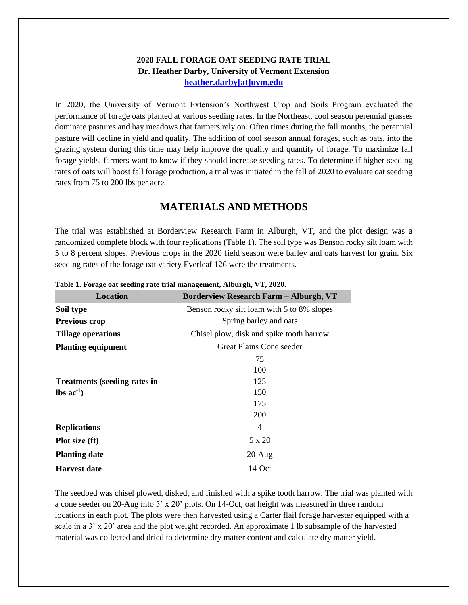#### **2020 FALL FORAGE OAT SEEDING RATE TRIAL Dr. Heather Darby, University of Vermont Extension [heather.darby\[at\]uvm.edu](mailto:heather.darby@uvm.edu?subject=2013%20Long%20Season%20Corn%20Report)**

In 2020, the University of Vermont Extension's Northwest Crop and Soils Program evaluated the performance of forage oats planted at various seeding rates. In the Northeast, cool season perennial grasses dominate pastures and hay meadows that farmers rely on. Often times during the fall months, the perennial pasture will decline in yield and quality. The addition of cool season annual forages, such as oats, into the grazing system during this time may help improve the quality and quantity of forage. To maximize fall forage yields, farmers want to know if they should increase seeding rates. To determine if higher seeding rates of oats will boost fall forage production, a trial was initiated in the fall of 2020 to evaluate oat seeding rates from 75 to 200 lbs per acre.

## **MATERIALS AND METHODS**

The trial was established at Borderview Research Farm in Alburgh, VT, and the plot design was a randomized complete block with four replications (Table 1). The soil type was Benson rocky silt loam with 5 to 8 percent slopes. Previous crops in the 2020 field season were barley and oats harvest for grain. Six seeding rates of the forage oat variety Everleaf 126 were the treatments.

| <b>Location</b>                     | <b>Borderview Research Farm - Alburgh, VT</b> |  |  |  |
|-------------------------------------|-----------------------------------------------|--|--|--|
| Soil type                           | Benson rocky silt loam with 5 to 8% slopes    |  |  |  |
| <b>Previous crop</b>                | Spring barley and oats                        |  |  |  |
| <b>Tillage operations</b>           | Chisel plow, disk and spike tooth harrow      |  |  |  |
| <b>Planting equipment</b>           | Great Plains Cone seeder                      |  |  |  |
|                                     | 75                                            |  |  |  |
|                                     | 100                                           |  |  |  |
| <b>Treatments (seeding rates in</b> | 125                                           |  |  |  |
| $\text{lbs}$ ac <sup>-1</sup> )     | 150                                           |  |  |  |
|                                     | 175                                           |  |  |  |
|                                     | 200                                           |  |  |  |
| <b>Replications</b>                 | 4                                             |  |  |  |
| Plot size (ft)                      | 5 x 20                                        |  |  |  |
| <b>Planting date</b>                | $20-Aug$                                      |  |  |  |
| <b>Harvest date</b>                 | $14$ -Oct                                     |  |  |  |

**Table 1. Forage oat seeding rate trial management, Alburgh, VT, 2020.**

The seedbed was chisel plowed, disked, and finished with a spike tooth harrow. The trial was planted with a cone seeder on 20-Aug into 5' x 20' plots. On 14-Oct, oat height was measured in three random locations in each plot. The plots were then harvested using a Carter flail forage harvester equipped with a scale in a 3' x 20' area and the plot weight recorded. An approximate 1 lb subsample of the harvested material was collected and dried to determine dry matter content and calculate dry matter yield.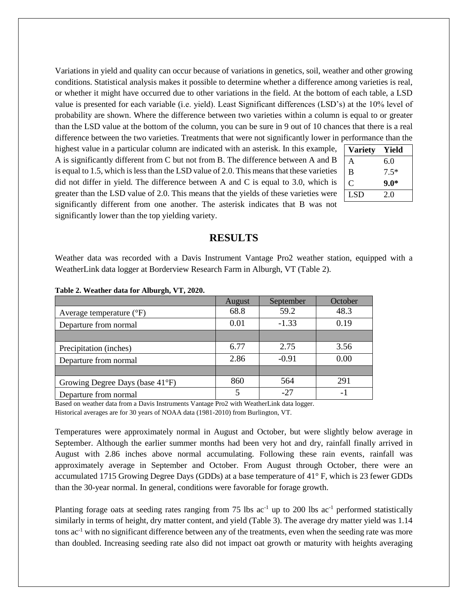Variations in yield and quality can occur because of variations in genetics, soil, weather and other growing conditions. Statistical analysis makes it possible to determine whether a difference among varieties is real, or whether it might have occurred due to other variations in the field. At the bottom of each table, a LSD value is presented for each variable (i.e. yield). Least Significant differences (LSD's) at the 10% level of probability are shown. Where the difference between two varieties within a column is equal to or greater than the LSD value at the bottom of the column, you can be sure in 9 out of 10 chances that there is a real difference between the two varieties. Treatments that were not significantly lower in performance than the

highest value in a particular column are indicated with an asterisk. In this example, A is significantly different from C but not from B. The difference between A and B is equal to 1.5, which is less than the LSD value of 2.0. This means that these varieties did not differ in yield. The difference between A and C is equal to 3.0, which is greater than the LSD value of 2.0. This means that the yields of these varieties were significantly different from one another. The asterisk indicates that B was not significantly lower than the top yielding variety.

| Yield  |
|--------|
| 6.0    |
| $7.5*$ |
| $9.0*$ |
| 2.0    |
|        |

#### **RESULTS**

Weather data was recorded with a Davis Instrument Vantage Pro2 weather station, equipped with a WeatherLink data logger at Borderview Research Farm in Alburgh, VT (Table 2).

|                                   | August | September | October        |
|-----------------------------------|--------|-----------|----------------|
| Average temperature $(^{\circ}F)$ | 68.8   | 59.2      | 48.3           |
| Departure from normal             | 0.01   | $-1.33$   | 0.19           |
|                                   |        |           |                |
| Precipitation (inches)            | 6.77   | 2.75      | 3.56           |
| Departure from normal             | 2.86   | $-0.91$   | 0.00           |
|                                   |        |           |                |
| Growing Degree Days (base 41°F)   | 860    | 564       | 291            |
| Departure from normal             |        | $-27$     | $\blacksquare$ |

**Table 2. Weather data for Alburgh, VT, 2020.**

Based on weather data from a Davis Instruments Vantage Pro2 with WeatherLink data logger.

Historical averages are for 30 years of NOAA data (1981-2010) from Burlington, VT.

Temperatures were approximately normal in August and October, but were slightly below average in September. Although the earlier summer months had been very hot and dry, rainfall finally arrived in August with 2.86 inches above normal accumulating. Following these rain events, rainfall was approximately average in September and October. From August through October, there were an accumulated 1715 Growing Degree Days (GDDs) at a base temperature of 41° F, which is 23 fewer GDDs than the 30-year normal. In general, conditions were favorable for forage growth.

Planting forage oats at seeding rates ranging from 75 lbs  $ac^{-1}$  up to 200 lbs  $ac^{-1}$  performed statistically similarly in terms of height, dry matter content, and yield (Table 3). The average dry matter yield was 1.14 tons ac-1 with no significant difference between any of the treatments, even when the seeding rate was more than doubled. Increasing seeding rate also did not impact oat growth or maturity with heights averaging